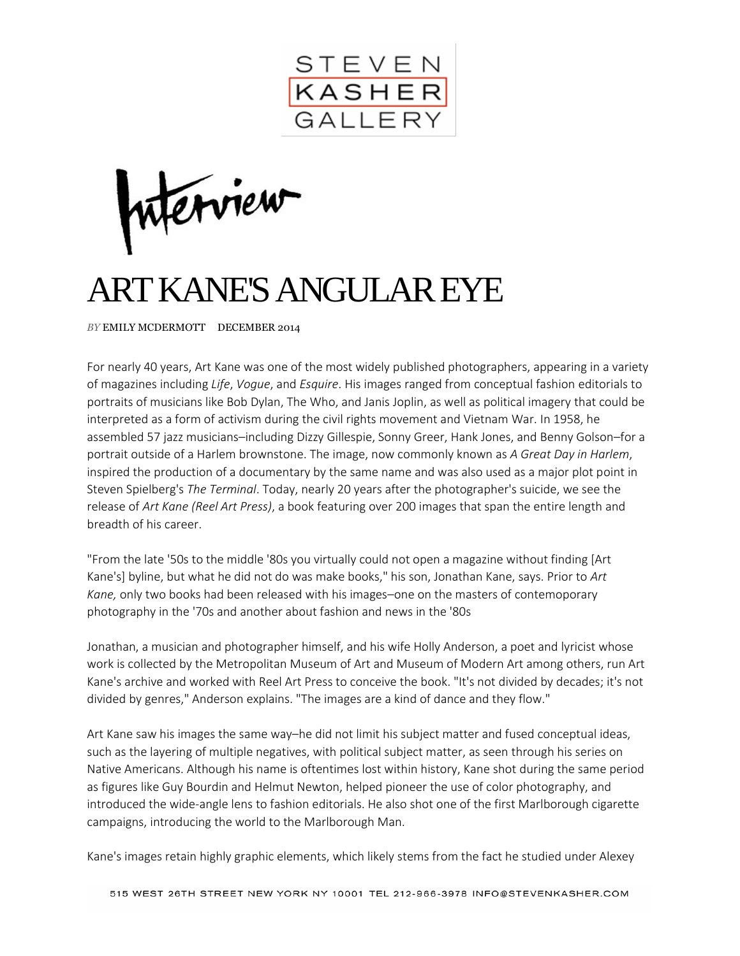

nterview

## ART KANE'S ANGULAR EYE

*BY* EMILY MCDERMOTT DECEMBER 2014

For nearly 40 years, Art Kane was one of the most widely published photographers, appearing in a variety of magazines including *Life*, *Vogue*, and *Esquire*. His images ranged from conceptual fashion editorials to portraits of musicians like Bob Dylan, The Who, and Janis Joplin, as well as political imagery that could be interpreted as a form of activism during the civil rights movement and Vietnam War. In 1958, he assembled 57 jazz musicians–including Dizzy Gillespie, Sonny Greer, Hank Jones, and Benny Golson–for a portrait outside of a Harlem brownstone. The image, now commonly known as *A Great Day in Harlem*, inspired the production of a documentary by the same name and was also used as a major plot point in Steven Spielberg's *The Terminal*. Today, nearly 20 years after the photographer's suicide, we see the release of *Art Kane (Reel Art Press)*, a book featuring over 200 images that span the entire length and breadth of his career.

"From the late '50s to the middle '80s you virtually could not open a magazine without finding [Art Kane's] byline, but what he did not do was make books," his son, Jonathan Kane, says. Prior to *Art Kane,* only two books had been released with his images–one on the masters of contemoporary photography in the '70s and another about fashion and news in the '80s

Jonathan, a musician and photographer himself, and his wife Holly Anderson, a poet and lyricist whose work is collected by the Metropolitan Museum of Art and Museum of Modern Art among others, run Art Kane's archive and worked with Reel Art Press to conceive the book. "It's not divided by decades; it's not divided by genres," Anderson explains. "The images are a kind of dance and they flow."

Art Kane saw his images the same way–he did not limit his subject matter and fused conceptual ideas, such as the layering of multiple negatives, with political subject matter, as seen through his series on Native Americans. Although his name is oftentimes lost within history, Kane shot during the same period as figures like Guy Bourdin and Helmut Newton, helped pioneer the use of color photography, and introduced the wide-angle lens to fashion editorials. He also shot one of the first Marlborough cigarette campaigns, introducing the world to the Marlborough Man.

Kane's images retain highly graphic elements, which likely stems from the fact he studied under Alexey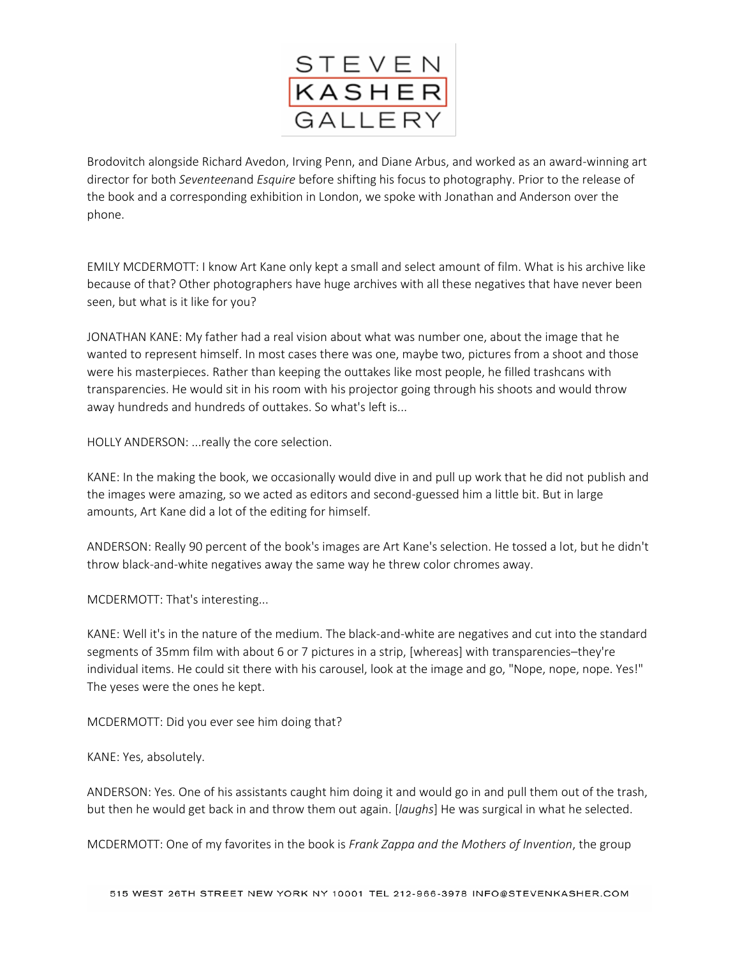

Brodovitch alongside Richard Avedon, Irving Penn, and Diane Arbus, and worked as an award-winning art director for both *Seventeen*and *Esquire* before shifting his focus to photography. Prior to the release of the book and a corresponding exhibition in London, we spoke with Jonathan and Anderson over the phone.

EMILY MCDERMOTT: I know Art Kane only kept a small and select amount of film. What is his archive like because of that? Other photographers have huge archives with all these negatives that have never been seen, but what is it like for you?

JONATHAN KANE: My father had a real vision about what was number one, about the image that he wanted to represent himself. In most cases there was one, maybe two, pictures from a shoot and those were his masterpieces. Rather than keeping the outtakes like most people, he filled trashcans with transparencies. He would sit in his room with his projector going through his shoots and would throw away hundreds and hundreds of outtakes. So what's left is...

HOLLY ANDERSON: ...really the core selection.

KANE: In the making the book, we occasionally would dive in and pull up work that he did not publish and the images were amazing, so we acted as editors and second-guessed him a little bit. But in large amounts, Art Kane did a lot of the editing for himself.

ANDERSON: Really 90 percent of the book's images are Art Kane's selection. He tossed a lot, but he didn't throw black-and-white negatives away the same way he threw color chromes away.

MCDERMOTT: That's interesting...

KANE: Well it's in the nature of the medium. The black-and-white are negatives and cut into the standard segments of 35mm film with about 6 or 7 pictures in a strip, [whereas] with transparencies–they're individual items. He could sit there with his carousel, look at the image and go, "Nope, nope, nope. Yes!" The yeses were the ones he kept.

MCDERMOTT: Did you ever see him doing that?

KANE: Yes, absolutely.

ANDERSON: Yes. One of his assistants caught him doing it and would go in and pull them out of the trash, but then he would get back in and throw them out again. [*laughs*] He was surgical in what he selected.

MCDERMOTT: One of my favorites in the book is *Frank Zappa and the Mothers of Invention*, the group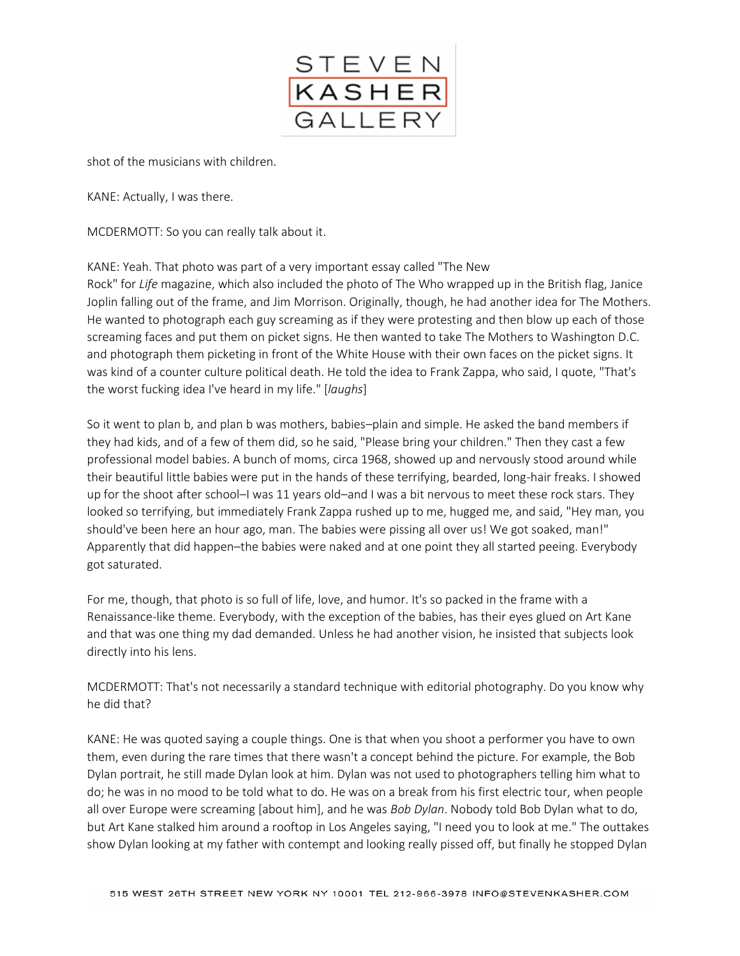

shot of the musicians with children.

KANE: Actually, I was there.

MCDERMOTT: So you can really talk about it.

KANE: Yeah. That photo was part of a very important essay called "The New

Rock" for *Life* magazine, which also included the photo of The Who wrapped up in the British flag, Janice Joplin falling out of the frame, and Jim Morrison. Originally, though, he had another idea for The Mothers. He wanted to photograph each guy screaming as if they were protesting and then blow up each of those screaming faces and put them on picket signs. He then wanted to take The Mothers to Washington D.C. and photograph them picketing in front of the White House with their own faces on the picket signs. It was kind of a counter culture political death. He told the idea to Frank Zappa, who said, I quote, "That's the worst fucking idea I've heard in my life." [*laughs*]

So it went to plan b, and plan b was mothers, babies–plain and simple. He asked the band members if they had kids, and of a few of them did, so he said, "Please bring your children." Then they cast a few professional model babies. A bunch of moms, circa 1968, showed up and nervously stood around while their beautiful little babies were put in the hands of these terrifying, bearded, long-hair freaks. I showed up for the shoot after school–I was 11 years old–and I was a bit nervous to meet these rock stars. They looked so terrifying, but immediately Frank Zappa rushed up to me, hugged me, and said, "Hey man, you should've been here an hour ago, man. The babies were pissing all over us! We got soaked, man!" Apparently that did happen–the babies were naked and at one point they all started peeing. Everybody got saturated.

For me, though, that photo is so full of life, love, and humor. It's so packed in the frame with a Renaissance-like theme. Everybody, with the exception of the babies, has their eyes glued on Art Kane and that was one thing my dad demanded. Unless he had another vision, he insisted that subjects look directly into his lens.

MCDERMOTT: That's not necessarily a standard technique with editorial photography. Do you know why he did that?

KANE: He was quoted saying a couple things. One is that when you shoot a performer you have to own them, even during the rare times that there wasn't a concept behind the picture. For example, the Bob Dylan portrait, he still made Dylan look at him. Dylan was not used to photographers telling him what to do; he was in no mood to be told what to do. He was on a break from his first electric tour, when people all over Europe were screaming [about him], and he was *Bob Dylan*. Nobody told Bob Dylan what to do, but Art Kane stalked him around a rooftop in Los Angeles saying, "I need you to look at me." The outtakes show Dylan looking at my father with contempt and looking really pissed off, but finally he stopped Dylan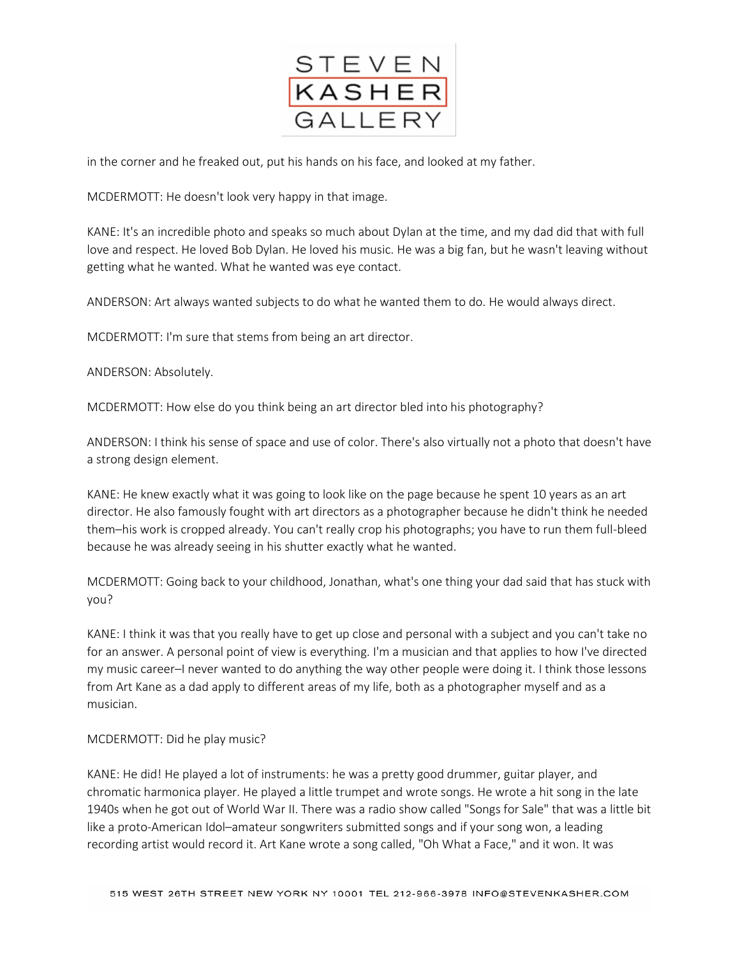

in the corner and he freaked out, put his hands on his face, and looked at my father.

MCDERMOTT: He doesn't look very happy in that image.

KANE: It's an incredible photo and speaks so much about Dylan at the time, and my dad did that with full love and respect. He loved Bob Dylan. He loved his music. He was a big fan, but he wasn't leaving without getting what he wanted. What he wanted was eye contact.

ANDERSON: Art always wanted subjects to do what he wanted them to do. He would always direct.

MCDERMOTT: I'm sure that stems from being an art director.

ANDERSON: Absolutely.

MCDERMOTT: How else do you think being an art director bled into his photography?

ANDERSON: I think his sense of space and use of color. There's also virtually not a photo that doesn't have a strong design element.

KANE: He knew exactly what it was going to look like on the page because he spent 10 years as an art director. He also famously fought with art directors as a photographer because he didn't think he needed them–his work is cropped already. You can't really crop his photographs; you have to run them full-bleed because he was already seeing in his shutter exactly what he wanted.

MCDERMOTT: Going back to your childhood, Jonathan, what's one thing your dad said that has stuck with you?

KANE: I think it was that you really have to get up close and personal with a subject and you can't take no for an answer. A personal point of view is everything. I'm a musician and that applies to how I've directed my music career–I never wanted to do anything the way other people were doing it. I think those lessons from Art Kane as a dad apply to different areas of my life, both as a photographer myself and as a musician.

## MCDERMOTT: Did he play music?

KANE: He did! He played a lot of instruments: he was a pretty good drummer, guitar player, and chromatic harmonica player. He played a little trumpet and wrote songs. He wrote a hit song in the late 1940s when he got out of World War II. There was a radio show called "Songs for Sale" that was a little bit like a proto-American Idol–amateur songwriters submitted songs and if your song won, a leading recording artist would record it. Art Kane wrote a song called, "Oh What a Face," and it won. It was